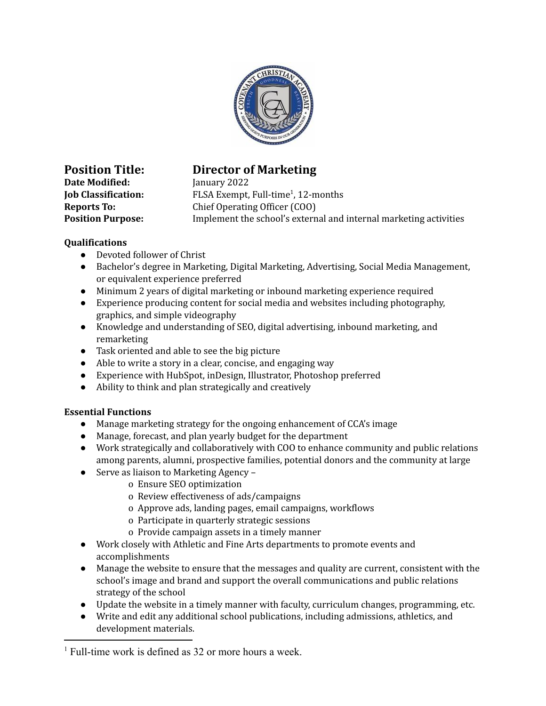

**Date Modified:** January 2022

## **Position Title: Director of Marketing**

**Job Classification:** FLSA Exempt, Full-time<sup>1</sup>, 12-months **Reports To:** Chief Operating Officer (COO) **Position Purpose:** Implement the school's external and internal marketing activities

## **Qualifications**

- Devoted follower of Christ
- Bachelor's degree in Marketing, Digital Marketing, Advertising, Social Media Management, or equivalent experience preferred
- Minimum 2 years of digital marketing or inbound marketing experience required
- Experience producing content for social media and websites including photography, graphics, and simple videography
- Knowledge and understanding of SEO, digital advertising, inbound marketing, and remarketing
- Task oriented and able to see the big picture
- Able to write a story in a clear, concise, and engaging way
- Experience with HubSpot, inDesign, Illustrator, Photoshop preferred
- Ability to think and plan strategically and creatively

## **Essential Functions**

- Manage marketing strategy for the ongoing enhancement of CCA's image
- Manage, forecast, and plan yearly budget for the department
- Work strategically and collaboratively with COO to enhance community and public relations among parents, alumni, prospective families, potential donors and the community at large
- Serve as liaison to Marketing Agency
	- o Ensure SEO optimization
	- o Review effectiveness of ads/campaigns
	- o Approve ads, landing pages, email campaigns, workflows
	- o Participate in quarterly strategic sessions
	- o Provide campaign assets in a timely manner
- Work closely with Athletic and Fine Arts departments to promote events and accomplishments
- Manage the website to ensure that the messages and quality are current, consistent with the school's image and brand and support the overall communications and public relations strategy of the school
- Update the website in a timely manner with faculty, curriculum changes, programming, etc.
- Write and edit any additional school publications, including admissions, athletics, and development materials.

 $<sup>1</sup>$  Full-time work is defined as 32 or more hours a week.</sup>